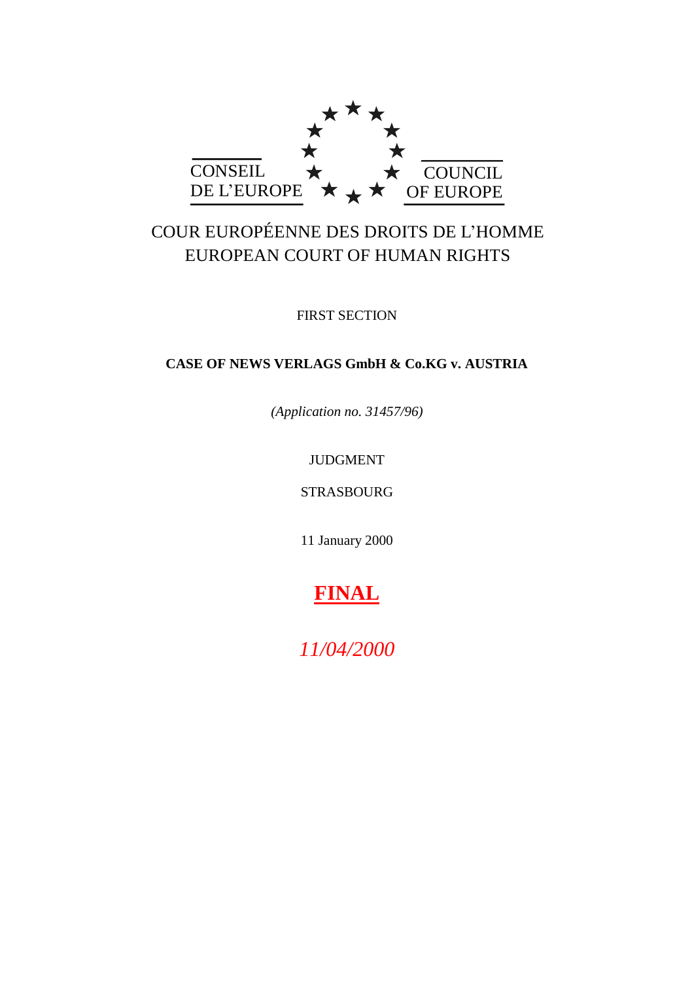

# COUR EUROPÉENNE DES DROITS DE L'HOMME EUROPEAN COURT OF HUMAN RIGHTS

FIRST SECTION

# **CASE OF NEWS VERLAGS GmbH & Co.KG v. AUSTRIA**

*(Application no. 31457/96)*

# JUDGMENT

STRASBOURG

11 January 2000

# **FINAL**

*11/04/2000*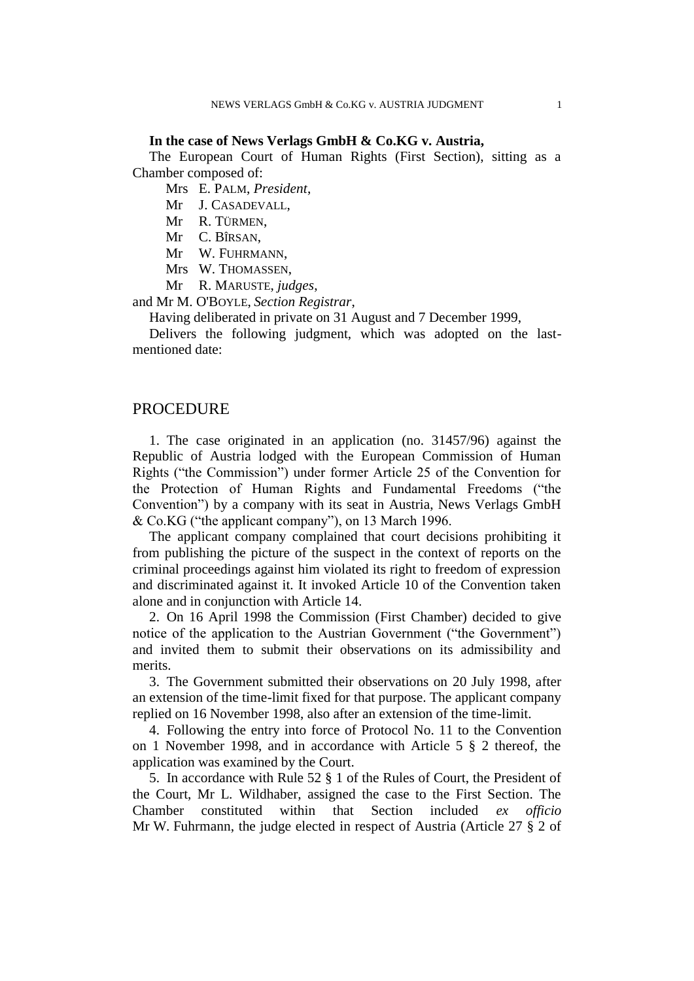### **In the case of News Verlags GmbH & Co.KG v. Austria,**

The European Court of Human Rights (First Section), sitting as a Chamber composed of:

Mrs E. PALM, *President*,

Mr J. CASADEVALL,

Mr R. TÜRMEN,

Mr C. BÎRSAN,

Mr W. FUHRMANN,

Mrs W. THOMASSEN,

Mr R. MARUSTE, *judges*,

and Mr M. O'BOYLE, *Section Registrar*,

Having deliberated in private on 31 August and 7 December 1999,

Delivers the following judgment, which was adopted on the lastmentioned date:

## **PROCEDURE**

1. The case originated in an application (no. 31457/96) against the Republic of Austria lodged with the European Commission of Human Rights ("the Commission") under former Article 25 of the Convention for the Protection of Human Rights and Fundamental Freedoms ("the Convention") by a company with its seat in Austria, News Verlags GmbH & Co.KG ("the applicant company"), on 13 March 1996.

The applicant company complained that court decisions prohibiting it from publishing the picture of the suspect in the context of reports on the criminal proceedings against him violated its right to freedom of expression and discriminated against it. It invoked Article 10 of the Convention taken alone and in conjunction with Article 14.

2. On 16 April 1998 the Commission (First Chamber) decided to give notice of the application to the Austrian Government ("the Government") and invited them to submit their observations on its admissibility and merits.

3. The Government submitted their observations on 20 July 1998, after an extension of the time-limit fixed for that purpose. The applicant company replied on 16 November 1998, also after an extension of the time-limit.

4. Following the entry into force of Protocol No. 11 to the Convention on 1 November 1998, and in accordance with Article 5 § 2 thereof, the application was examined by the Court.

5. In accordance with Rule 52 § 1 of the Rules of Court, the President of the Court, Mr L. Wildhaber, assigned the case to the First Section. The Chamber constituted within that Section included *ex officio*  Mr W. Fuhrmann, the judge elected in respect of Austria (Article 27 § 2 of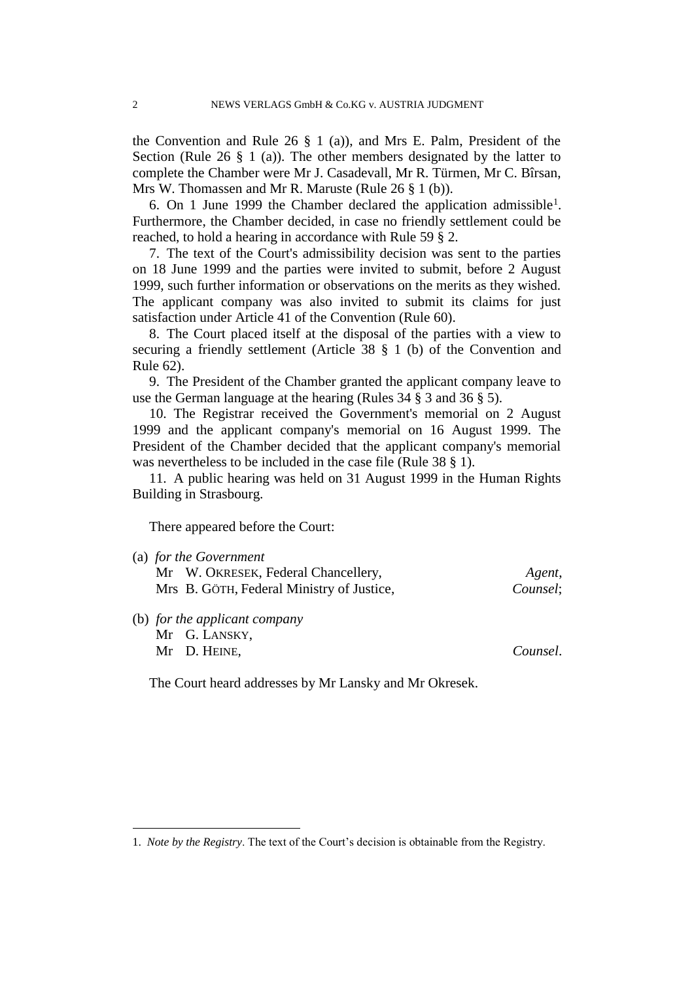the Convention and Rule 26 § 1 (a)), and Mrs E. Palm, President of the Section (Rule 26  $\S$  1 (a)). The other members designated by the latter to complete the Chamber were Mr J. Casadevall, Mr R. Türmen, Mr C. Bîrsan, Mrs W. Thomassen and Mr R. Maruste (Rule 26 § 1 (b)).

6. On 1 June 1999 the Chamber declared the application admissible<sup>1</sup>. Furthermore, the Chamber decided, in case no friendly settlement could be reached, to hold a hearing in accordance with Rule 59 § 2.

7. The text of the Court's admissibility decision was sent to the parties on 18 June 1999 and the parties were invited to submit, before 2 August 1999, such further information or observations on the merits as they wished. The applicant company was also invited to submit its claims for just satisfaction under Article 41 of the Convention (Rule 60).

8. The Court placed itself at the disposal of the parties with a view to securing a friendly settlement (Article 38 § 1 (b) of the Convention and Rule 62).

9. The President of the Chamber granted the applicant company leave to use the German language at the hearing (Rules 34 § 3 and 36 § 5).

10. The Registrar received the Government's memorial on 2 August 1999 and the applicant company's memorial on 16 August 1999. The President of the Chamber decided that the applicant company's memorial was nevertheless to be included in the case file (Rule 38 § 1).

11. A public hearing was held on 31 August 1999 in the Human Rights Building in Strasbourg.

There appeared before the Court:

| (a) for the Government                    |          |
|-------------------------------------------|----------|
| Mr W. OKRESEK, Federal Chancellery,       | Agent,   |
| Mrs B. GÖTH, Federal Ministry of Justice, | Counsel; |
| $(h)$ for the applicant company           |          |

(b) *for the applicant company*

 $\overline{a}$ 

| Mr G. LANSKY, |          |
|---------------|----------|
| Mr D. HEINE,  | Counsel. |

The Court heard addresses by Mr Lansky and Mr Okresek.

<sup>1.</sup> *Note by the Registry*. The text of the Court's decision is obtainable from the Registry.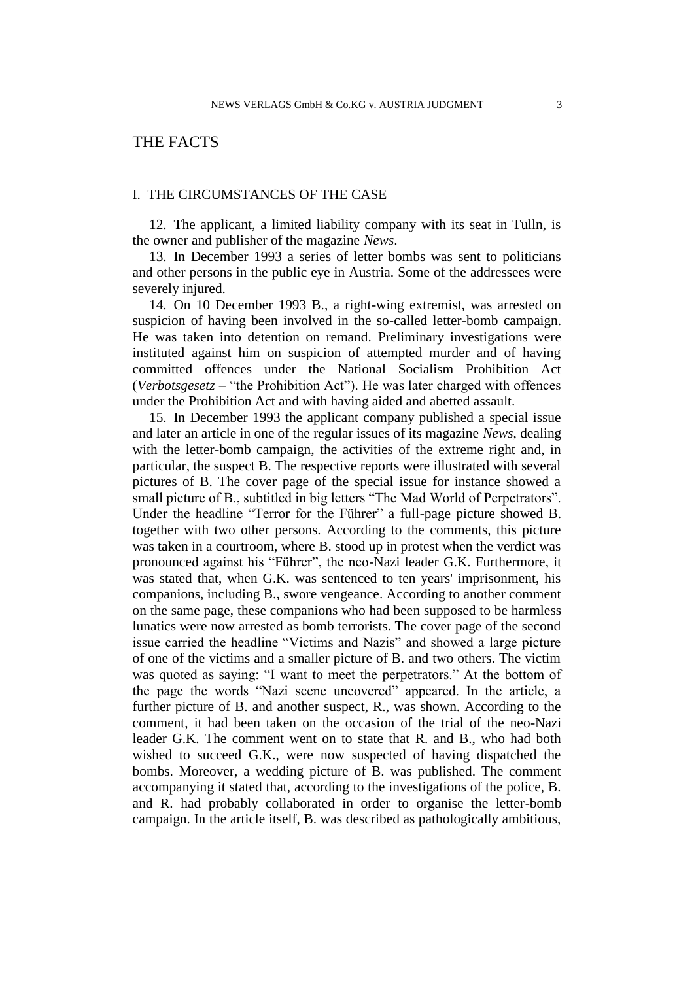# THE FACTS

### I. THE CIRCUMSTANCES OF THE CASE

12. The applicant, a limited liability company with its seat in Tulln, is the owner and publisher of the magazine *News*.

13. In December 1993 a series of letter bombs was sent to politicians and other persons in the public eye in Austria. Some of the addressees were severely injured.

14. On 10 December 1993 B., a right-wing extremist, was arrested on suspicion of having been involved in the so-called letter-bomb campaign. He was taken into detention on remand. Preliminary investigations were instituted against him on suspicion of attempted murder and of having committed offences under the National Socialism Prohibition Act (*Verbotsgesetz* – "the Prohibition Act"). He was later charged with offences under the Prohibition Act and with having aided and abetted assault.

15. In December 1993 the applicant company published a special issue and later an article in one of the regular issues of its magazine *News*, dealing with the letter-bomb campaign, the activities of the extreme right and, in particular, the suspect B. The respective reports were illustrated with several pictures of B. The cover page of the special issue for instance showed a small picture of B., subtitled in big letters "The Mad World of Perpetrators". Under the headline "Terror for the Führer" a full-page picture showed B. together with two other persons. According to the comments, this picture was taken in a courtroom, where B. stood up in protest when the verdict was pronounced against his "Führer", the neo-Nazi leader G.K. Furthermore, it was stated that, when G.K. was sentenced to ten years' imprisonment, his companions, including B., swore vengeance. According to another comment on the same page, these companions who had been supposed to be harmless lunatics were now arrested as bomb terrorists. The cover page of the second issue carried the headline "Victims and Nazis" and showed a large picture of one of the victims and a smaller picture of B. and two others. The victim was quoted as saying: "I want to meet the perpetrators." At the bottom of the page the words "Nazi scene uncovered" appeared. In the article, a further picture of B. and another suspect, R., was shown. According to the comment, it had been taken on the occasion of the trial of the neo-Nazi leader G.K. The comment went on to state that R. and B., who had both wished to succeed G.K., were now suspected of having dispatched the bombs. Moreover, a wedding picture of B. was published. The comment accompanying it stated that, according to the investigations of the police, B. and R. had probably collaborated in order to organise the letter-bomb campaign. In the article itself, B. was described as pathologically ambitious,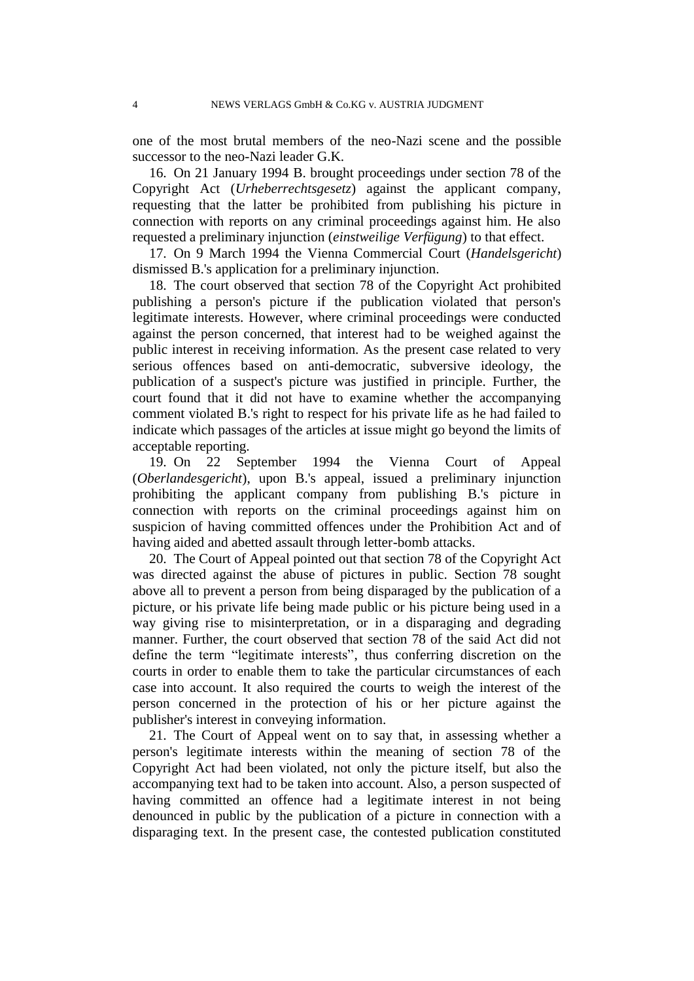one of the most brutal members of the neo-Nazi scene and the possible successor to the neo-Nazi leader G.K.

16. On 21 January 1994 B. brought proceedings under section 78 of the Copyright Act (*Urheberrechtsgesetz*) against the applicant company, requesting that the latter be prohibited from publishing his picture in connection with reports on any criminal proceedings against him. He also requested a preliminary injunction (*einstweilige Verfügung*) to that effect.

17. On 9 March 1994 the Vienna Commercial Court (*Handelsgericht*) dismissed B.'s application for a preliminary injunction.

18. The court observed that section 78 of the Copyright Act prohibited publishing a person's picture if the publication violated that person's legitimate interests. However, where criminal proceedings were conducted against the person concerned, that interest had to be weighed against the public interest in receiving information. As the present case related to very serious offences based on anti-democratic, subversive ideology, the publication of a suspect's picture was justified in principle. Further, the court found that it did not have to examine whether the accompanying comment violated B.'s right to respect for his private life as he had failed to indicate which passages of the articles at issue might go beyond the limits of acceptable reporting.

19. On 22 September 1994 the Vienna Court of Appeal (*Oberlandesgericht*), upon B.'s appeal, issued a preliminary injunction prohibiting the applicant company from publishing B.'s picture in connection with reports on the criminal proceedings against him on suspicion of having committed offences under the Prohibition Act and of having aided and abetted assault through letter-bomb attacks.

20. The Court of Appeal pointed out that section 78 of the Copyright Act was directed against the abuse of pictures in public. Section 78 sought above all to prevent a person from being disparaged by the publication of a picture, or his private life being made public or his picture being used in a way giving rise to misinterpretation, or in a disparaging and degrading manner. Further, the court observed that section 78 of the said Act did not define the term "legitimate interests", thus conferring discretion on the courts in order to enable them to take the particular circumstances of each case into account. It also required the courts to weigh the interest of the person concerned in the protection of his or her picture against the publisher's interest in conveying information.

21. The Court of Appeal went on to say that, in assessing whether a person's legitimate interests within the meaning of section 78 of the Copyright Act had been violated, not only the picture itself, but also the accompanying text had to be taken into account. Also, a person suspected of having committed an offence had a legitimate interest in not being denounced in public by the publication of a picture in connection with a disparaging text. In the present case, the contested publication constituted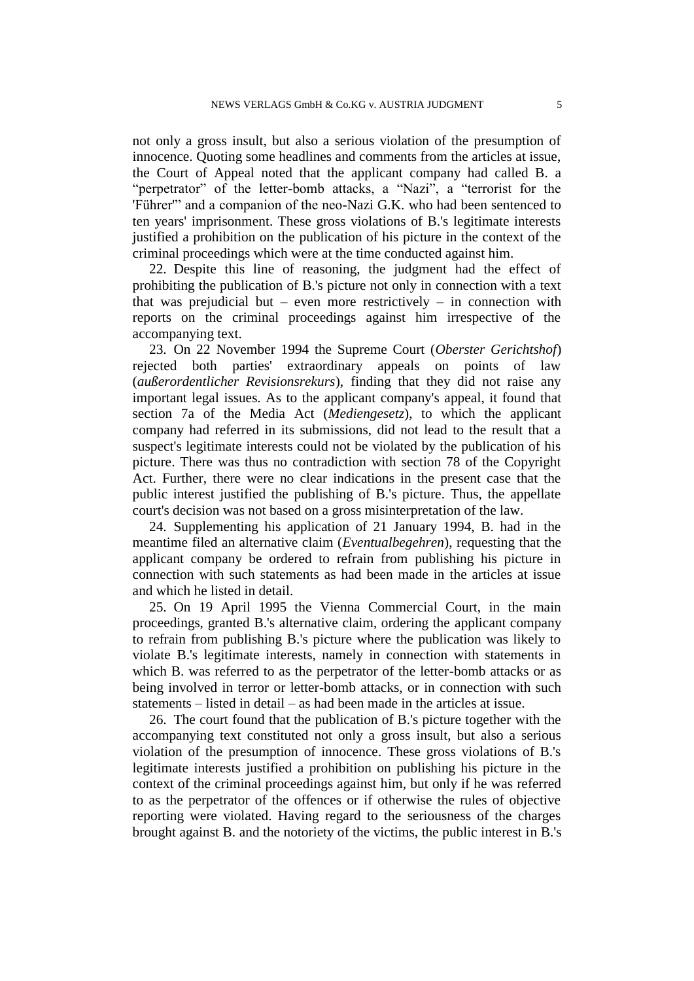not only a gross insult, but also a serious violation of the presumption of innocence. Quoting some headlines and comments from the articles at issue, the Court of Appeal noted that the applicant company had called B. a "perpetrator" of the letter-bomb attacks, a "Nazi", a "terrorist for the 'Führer'" and a companion of the neo-Nazi G.K. who had been sentenced to ten years' imprisonment. These gross violations of B.'s legitimate interests justified a prohibition on the publication of his picture in the context of the criminal proceedings which were at the time conducted against him.

22. Despite this line of reasoning, the judgment had the effect of prohibiting the publication of B.'s picture not only in connection with a text that was prejudicial but – even more restrictively – in connection with reports on the criminal proceedings against him irrespective of the accompanying text.

23. On 22 November 1994 the Supreme Court (*Oberster Gerichtshof*) rejected both parties' extraordinary appeals on points of law (*außerordentlicher Revisionsrekurs*), finding that they did not raise any important legal issues. As to the applicant company's appeal, it found that section 7a of the Media Act (*Mediengesetz*), to which the applicant company had referred in its submissions, did not lead to the result that a suspect's legitimate interests could not be violated by the publication of his picture. There was thus no contradiction with section 78 of the Copyright Act. Further, there were no clear indications in the present case that the public interest justified the publishing of B.'s picture. Thus, the appellate court's decision was not based on a gross misinterpretation of the law.

24. Supplementing his application of 21 January 1994, B. had in the meantime filed an alternative claim (*Eventualbegehren*), requesting that the applicant company be ordered to refrain from publishing his picture in connection with such statements as had been made in the articles at issue and which he listed in detail.

25. On 19 April 1995 the Vienna Commercial Court, in the main proceedings, granted B.'s alternative claim, ordering the applicant company to refrain from publishing B.'s picture where the publication was likely to violate B.'s legitimate interests, namely in connection with statements in which B. was referred to as the perpetrator of the letter-bomb attacks or as being involved in terror or letter-bomb attacks, or in connection with such statements – listed in detail – as had been made in the articles at issue.

26. The court found that the publication of B.'s picture together with the accompanying text constituted not only a gross insult, but also a serious violation of the presumption of innocence. These gross violations of B.'s legitimate interests justified a prohibition on publishing his picture in the context of the criminal proceedings against him, but only if he was referred to as the perpetrator of the offences or if otherwise the rules of objective reporting were violated. Having regard to the seriousness of the charges brought against B. and the notoriety of the victims, the public interest in B.'s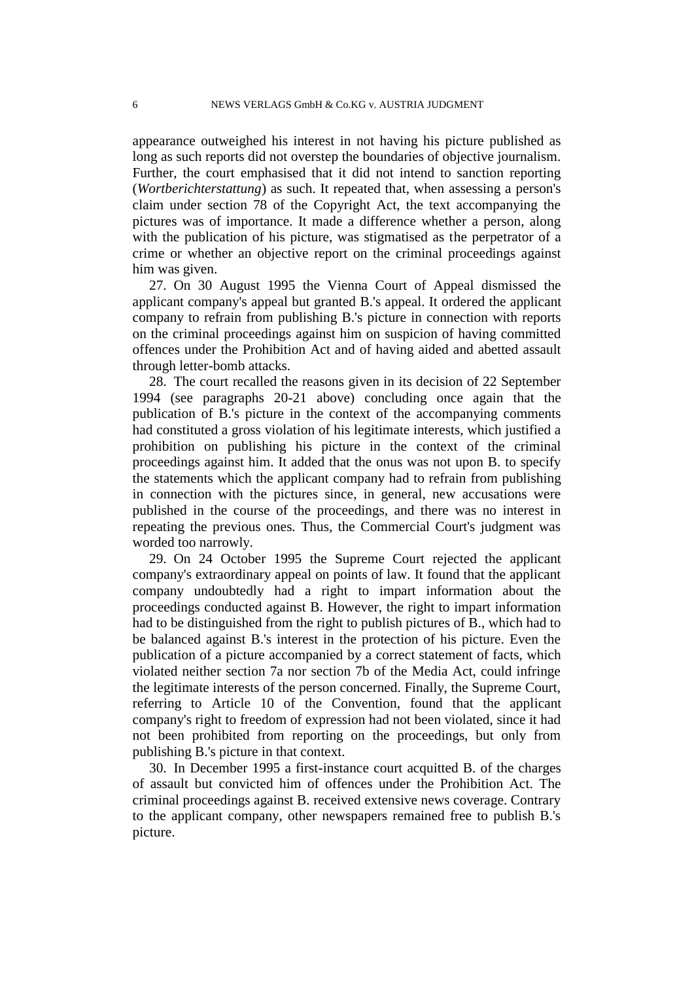appearance outweighed his interest in not having his picture published as long as such reports did not overstep the boundaries of objective journalism. Further, the court emphasised that it did not intend to sanction reporting (*Wortberichterstattung*) as such. It repeated that, when assessing a person's claim under section 78 of the Copyright Act, the text accompanying the pictures was of importance. It made a difference whether a person, along with the publication of his picture, was stigmatised as the perpetrator of a crime or whether an objective report on the criminal proceedings against him was given.

27. On 30 August 1995 the Vienna Court of Appeal dismissed the applicant company's appeal but granted B.'s appeal. It ordered the applicant company to refrain from publishing B.'s picture in connection with reports on the criminal proceedings against him on suspicion of having committed offences under the Prohibition Act and of having aided and abetted assault through letter-bomb attacks.

28. The court recalled the reasons given in its decision of 22 September 1994 (see paragraphs 20-21 above) concluding once again that the publication of B.'s picture in the context of the accompanying comments had constituted a gross violation of his legitimate interests, which justified a prohibition on publishing his picture in the context of the criminal proceedings against him. It added that the onus was not upon B. to specify the statements which the applicant company had to refrain from publishing in connection with the pictures since, in general, new accusations were published in the course of the proceedings, and there was no interest in repeating the previous ones. Thus, the Commercial Court's judgment was worded too narrowly.

29. On 24 October 1995 the Supreme Court rejected the applicant company's extraordinary appeal on points of law. It found that the applicant company undoubtedly had a right to impart information about the proceedings conducted against B. However, the right to impart information had to be distinguished from the right to publish pictures of B., which had to be balanced against B.'s interest in the protection of his picture. Even the publication of a picture accompanied by a correct statement of facts, which violated neither section 7a nor section 7b of the Media Act, could infringe the legitimate interests of the person concerned. Finally, the Supreme Court, referring to Article 10 of the Convention, found that the applicant company's right to freedom of expression had not been violated, since it had not been prohibited from reporting on the proceedings, but only from publishing B.'s picture in that context.

30. In December 1995 a first-instance court acquitted B. of the charges of assault but convicted him of offences under the Prohibition Act. The criminal proceedings against B. received extensive news coverage. Contrary to the applicant company, other newspapers remained free to publish B.'s picture.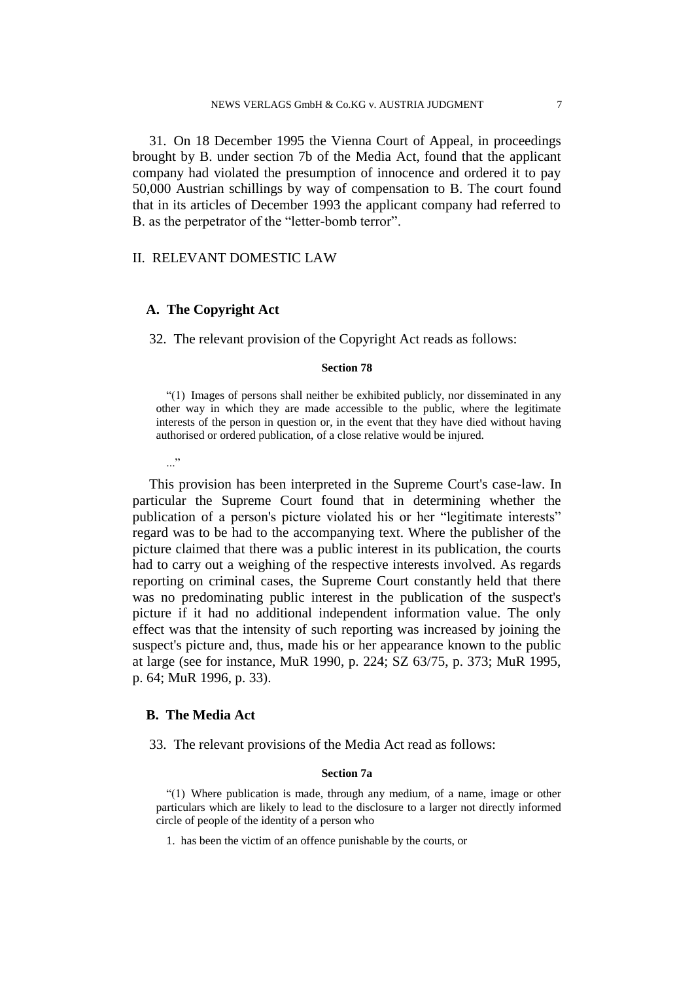31. On 18 December 1995 the Vienna Court of Appeal, in proceedings brought by B. under section 7b of the Media Act, found that the applicant company had violated the presumption of innocence and ordered it to pay 50,000 Austrian schillings by way of compensation to B. The court found that in its articles of December 1993 the applicant company had referred to B. as the perpetrator of the "letter-bomb terror".

### II. RELEVANT DOMESTIC LAW

### **A. The Copyright Act**

..."

32. The relevant provision of the Copyright Act reads as follows:

#### **Section 78**

"(1) Images of persons shall neither be exhibited publicly, nor disseminated in any other way in which they are made accessible to the public, where the legitimate interests of the person in question or, in the event that they have died without having authorised or ordered publication, of a close relative would be injured.

This provision has been interpreted in the Supreme Court's case-law. In particular the Supreme Court found that in determining whether the publication of a person's picture violated his or her "legitimate interests" regard was to be had to the accompanying text. Where the publisher of the picture claimed that there was a public interest in its publication, the courts had to carry out a weighing of the respective interests involved. As regards reporting on criminal cases, the Supreme Court constantly held that there was no predominating public interest in the publication of the suspect's picture if it had no additional independent information value. The only effect was that the intensity of such reporting was increased by joining the suspect's picture and, thus, made his or her appearance known to the public at large (see for instance, MuR 1990, p. 224; SZ 63/75, p. 373; MuR 1995, p. 64; MuR 1996, p. 33).

### **B. The Media Act**

33. The relevant provisions of the Media Act read as follows:

#### **Section 7a**

"(1) Where publication is made, through any medium, of a name, image or other particulars which are likely to lead to the disclosure to a larger not directly informed circle of people of the identity of a person who

1. has been the victim of an offence punishable by the courts, or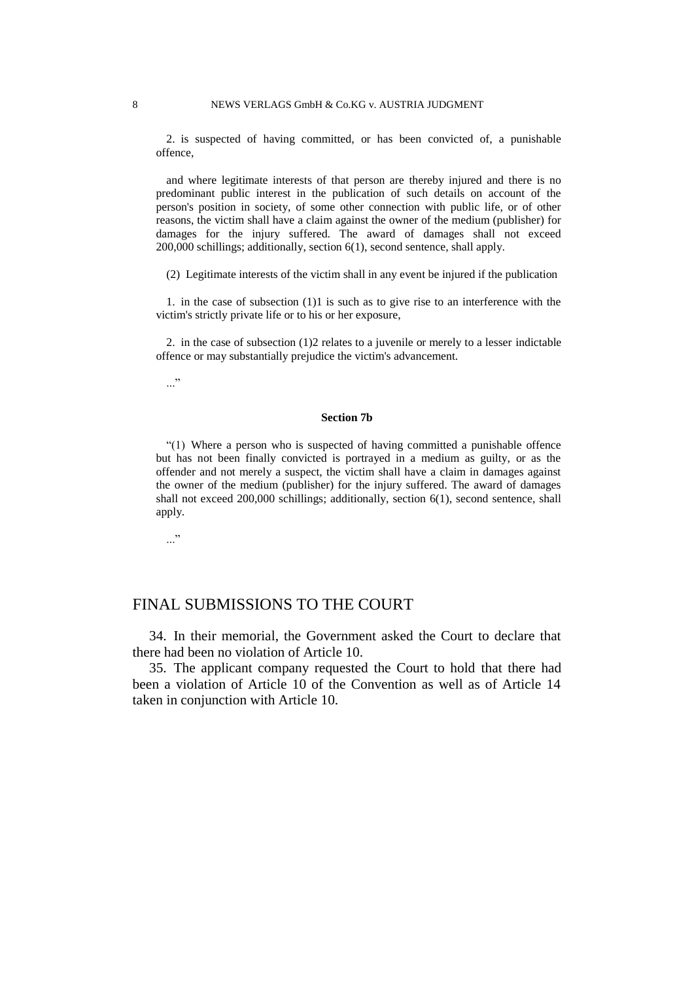2. is suspected of having committed, or has been convicted of, a punishable offence,

and where legitimate interests of that person are thereby injured and there is no predominant public interest in the publication of such details on account of the person's position in society, of some other connection with public life, or of other reasons, the victim shall have a claim against the owner of the medium (publisher) for damages for the injury suffered. The award of damages shall not exceed 200,000 schillings; additionally, section 6(1), second sentence, shall apply.

(2) Legitimate interests of the victim shall in any event be injured if the publication

1. in the case of subsection (1)1 is such as to give rise to an interference with the victim's strictly private life or to his or her exposure,

2. in the case of subsection (1)2 relates to a juvenile or merely to a lesser indictable offence or may substantially prejudice the victim's advancement.

..."

#### **Section 7b**

"(1) Where a person who is suspected of having committed a punishable offence but has not been finally convicted is portrayed in a medium as guilty, or as the offender and not merely a suspect, the victim shall have a claim in damages against the owner of the medium (publisher) for the injury suffered. The award of damages shall not exceed 200,000 schillings; additionally, section 6(1), second sentence, shall apply.

 $\cdot$ ..."

# FINAL SUBMISSIONS TO THE COURT

34. In their memorial, the Government asked the Court to declare that there had been no violation of Article 10.

35. The applicant company requested the Court to hold that there had been a violation of Article 10 of the Convention as well as of Article 14 taken in conjunction with Article 10.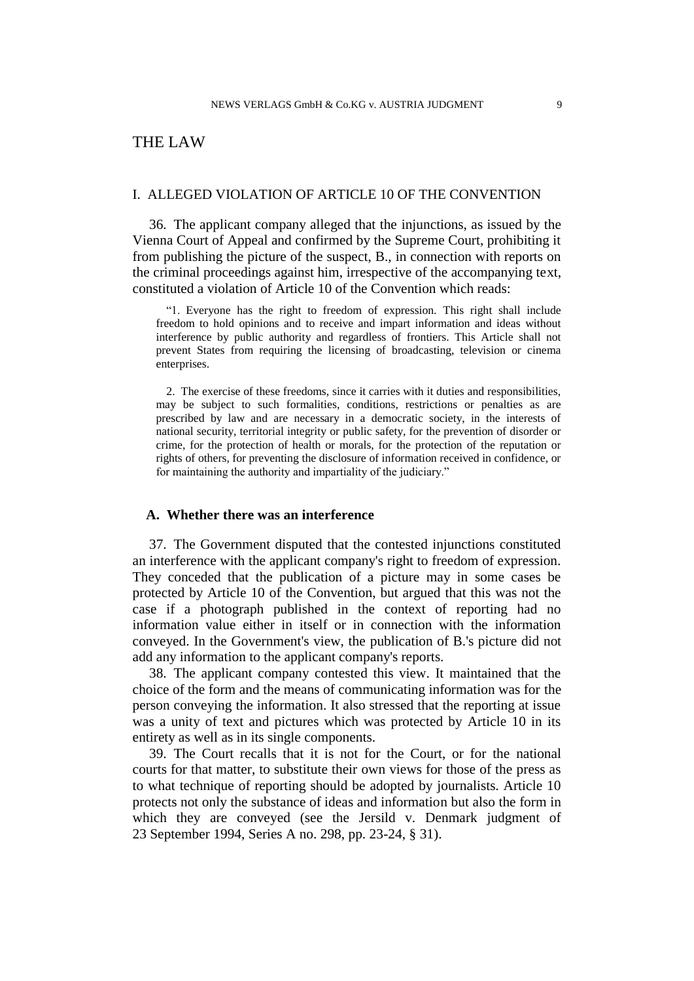# THE LAW

### I. ALLEGED VIOLATION OF ARTICLE 10 OF THE CONVENTION

36. The applicant company alleged that the injunctions, as issued by the Vienna Court of Appeal and confirmed by the Supreme Court, prohibiting it from publishing the picture of the suspect, B., in connection with reports on the criminal proceedings against him, irrespective of the accompanying text, constituted a violation of Article 10 of the Convention which reads:

"1. Everyone has the right to freedom of expression. This right shall include freedom to hold opinions and to receive and impart information and ideas without interference by public authority and regardless of frontiers. This Article shall not prevent States from requiring the licensing of broadcasting, television or cinema enterprises.

2. The exercise of these freedoms, since it carries with it duties and responsibilities, may be subject to such formalities, conditions, restrictions or penalties as are prescribed by law and are necessary in a democratic society, in the interests of national security, territorial integrity or public safety, for the prevention of disorder or crime, for the protection of health or morals, for the protection of the reputation or rights of others, for preventing the disclosure of information received in confidence, or for maintaining the authority and impartiality of the judiciary."

### **A. Whether there was an interference**

37. The Government disputed that the contested injunctions constituted an interference with the applicant company's right to freedom of expression. They conceded that the publication of a picture may in some cases be protected by Article 10 of the Convention, but argued that this was not the case if a photograph published in the context of reporting had no information value either in itself or in connection with the information conveyed. In the Government's view, the publication of B.'s picture did not add any information to the applicant company's reports.

38. The applicant company contested this view. It maintained that the choice of the form and the means of communicating information was for the person conveying the information. It also stressed that the reporting at issue was a unity of text and pictures which was protected by Article 10 in its entirety as well as in its single components.

39. The Court recalls that it is not for the Court, or for the national courts for that matter, to substitute their own views for those of the press as to what technique of reporting should be adopted by journalists. Article 10 protects not only the substance of ideas and information but also the form in which they are conveyed (see the Jersild v. Denmark judgment of 23 September 1994, Series A no. 298, pp. 23-24, § 31).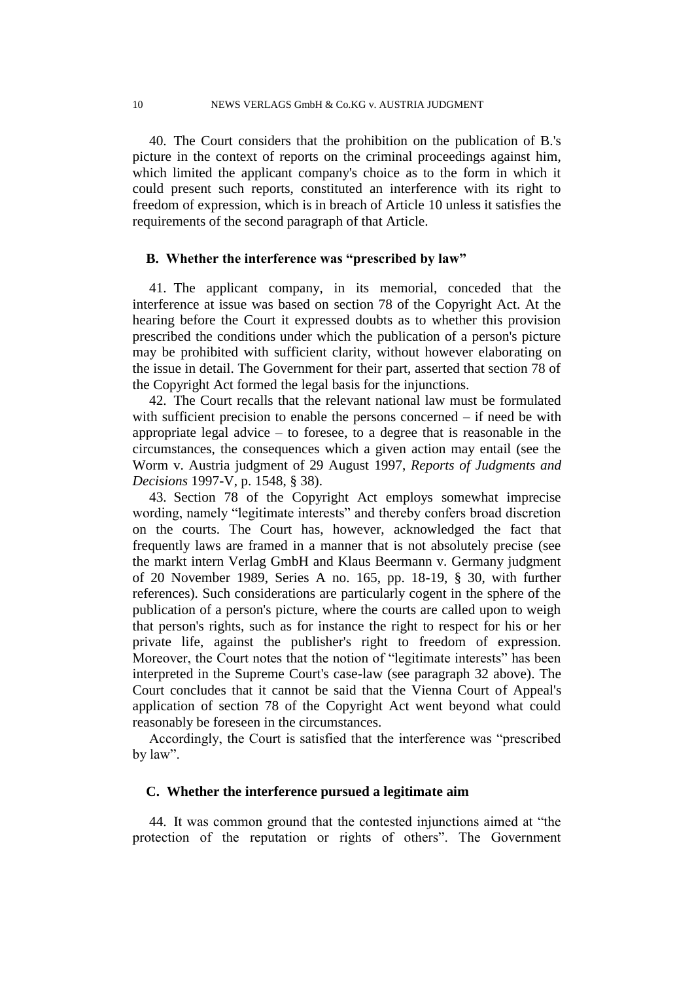40. The Court considers that the prohibition on the publication of B.'s picture in the context of reports on the criminal proceedings against him, which limited the applicant company's choice as to the form in which it could present such reports, constituted an interference with its right to freedom of expression, which is in breach of Article 10 unless it satisfies the requirements of the second paragraph of that Article.

#### **B. Whether the interference was "prescribed by law"**

41. The applicant company, in its memorial, conceded that the interference at issue was based on section 78 of the Copyright Act. At the hearing before the Court it expressed doubts as to whether this provision prescribed the conditions under which the publication of a person's picture may be prohibited with sufficient clarity, without however elaborating on the issue in detail. The Government for their part, asserted that section 78 of the Copyright Act formed the legal basis for the injunctions.

42. The Court recalls that the relevant national law must be formulated with sufficient precision to enable the persons concerned – if need be with appropriate legal advice – to foresee, to a degree that is reasonable in the circumstances, the consequences which a given action may entail (see the Worm v. Austria judgment of 29 August 1997, *Reports of Judgments and Decisions* 1997-V, p. 1548, § 38).

43. Section 78 of the Copyright Act employs somewhat imprecise wording, namely "legitimate interests" and thereby confers broad discretion on the courts. The Court has, however, acknowledged the fact that frequently laws are framed in a manner that is not absolutely precise (see the markt intern Verlag GmbH and Klaus Beermann v. Germany judgment of 20 November 1989, Series A no. 165, pp. 18-19, § 30, with further references). Such considerations are particularly cogent in the sphere of the publication of a person's picture, where the courts are called upon to weigh that person's rights, such as for instance the right to respect for his or her private life, against the publisher's right to freedom of expression. Moreover, the Court notes that the notion of "legitimate interests" has been interpreted in the Supreme Court's case-law (see paragraph 32 above). The Court concludes that it cannot be said that the Vienna Court of Appeal's application of section 78 of the Copyright Act went beyond what could reasonably be foreseen in the circumstances.

Accordingly, the Court is satisfied that the interference was "prescribed by law".

### **C. Whether the interference pursued a legitimate aim**

44. It was common ground that the contested injunctions aimed at "the protection of the reputation or rights of others". The Government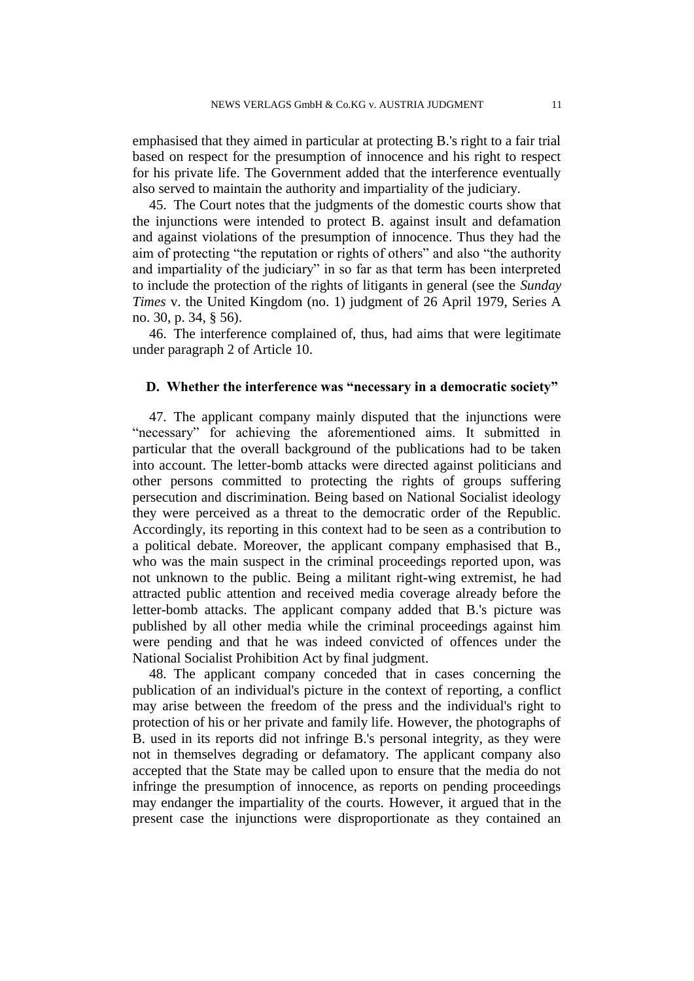emphasised that they aimed in particular at protecting B.'s right to a fair trial based on respect for the presumption of innocence and his right to respect for his private life. The Government added that the interference eventually also served to maintain the authority and impartiality of the judiciary.

45. The Court notes that the judgments of the domestic courts show that the injunctions were intended to protect B. against insult and defamation and against violations of the presumption of innocence. Thus they had the aim of protecting "the reputation or rights of others" and also "the authority and impartiality of the judiciary" in so far as that term has been interpreted to include the protection of the rights of litigants in general (see the *Sunday Times* v. the United Kingdom (no. 1) judgment of 26 April 1979, Series A no. 30, p. 34, § 56).

46. The interference complained of, thus, had aims that were legitimate under paragraph 2 of Article 10.

### **D. Whether the interference was "necessary in a democratic society"**

47. The applicant company mainly disputed that the injunctions were "necessary" for achieving the aforementioned aims. It submitted in particular that the overall background of the publications had to be taken into account. The letter-bomb attacks were directed against politicians and other persons committed to protecting the rights of groups suffering persecution and discrimination. Being based on National Socialist ideology they were perceived as a threat to the democratic order of the Republic. Accordingly, its reporting in this context had to be seen as a contribution to a political debate. Moreover, the applicant company emphasised that B., who was the main suspect in the criminal proceedings reported upon, was not unknown to the public. Being a militant right-wing extremist, he had attracted public attention and received media coverage already before the letter-bomb attacks. The applicant company added that B.'s picture was published by all other media while the criminal proceedings against him were pending and that he was indeed convicted of offences under the National Socialist Prohibition Act by final judgment.

48. The applicant company conceded that in cases concerning the publication of an individual's picture in the context of reporting, a conflict may arise between the freedom of the press and the individual's right to protection of his or her private and family life. However, the photographs of B. used in its reports did not infringe B.'s personal integrity, as they were not in themselves degrading or defamatory. The applicant company also accepted that the State may be called upon to ensure that the media do not infringe the presumption of innocence, as reports on pending proceedings may endanger the impartiality of the courts. However, it argued that in the present case the injunctions were disproportionate as they contained an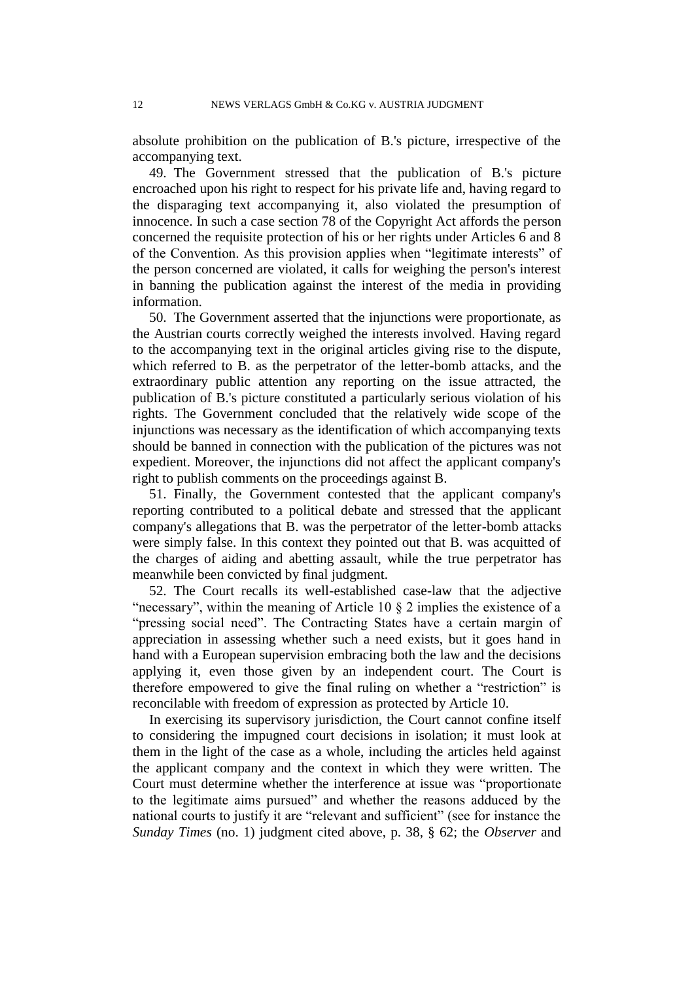absolute prohibition on the publication of B.'s picture, irrespective of the accompanying text.

49. The Government stressed that the publication of B.'s picture encroached upon his right to respect for his private life and, having regard to the disparaging text accompanying it, also violated the presumption of innocence. In such a case section 78 of the Copyright Act affords the person concerned the requisite protection of his or her rights under Articles 6 and 8 of the Convention. As this provision applies when "legitimate interests" of the person concerned are violated, it calls for weighing the person's interest in banning the publication against the interest of the media in providing information.

50. The Government asserted that the injunctions were proportionate, as the Austrian courts correctly weighed the interests involved. Having regard to the accompanying text in the original articles giving rise to the dispute, which referred to B. as the perpetrator of the letter-bomb attacks, and the extraordinary public attention any reporting on the issue attracted, the publication of B.'s picture constituted a particularly serious violation of his rights. The Government concluded that the relatively wide scope of the injunctions was necessary as the identification of which accompanying texts should be banned in connection with the publication of the pictures was not expedient. Moreover, the injunctions did not affect the applicant company's right to publish comments on the proceedings against B.

51. Finally, the Government contested that the applicant company's reporting contributed to a political debate and stressed that the applicant company's allegations that B. was the perpetrator of the letter-bomb attacks were simply false. In this context they pointed out that B. was acquitted of the charges of aiding and abetting assault, while the true perpetrator has meanwhile been convicted by final judgment.

52. The Court recalls its well-established case-law that the adjective "necessary", within the meaning of Article 10  $\S$  2 implies the existence of a "pressing social need". The Contracting States have a certain margin of appreciation in assessing whether such a need exists, but it goes hand in hand with a European supervision embracing both the law and the decisions applying it, even those given by an independent court. The Court is therefore empowered to give the final ruling on whether a "restriction" is reconcilable with freedom of expression as protected by Article 10.

In exercising its supervisory jurisdiction, the Court cannot confine itself to considering the impugned court decisions in isolation; it must look at them in the light of the case as a whole, including the articles held against the applicant company and the context in which they were written. The Court must determine whether the interference at issue was "proportionate to the legitimate aims pursued" and whether the reasons adduced by the national courts to justify it are "relevant and sufficient" (see for instance the *Sunday Times* (no. 1) judgment cited above, p. 38, § 62; the *Observer* and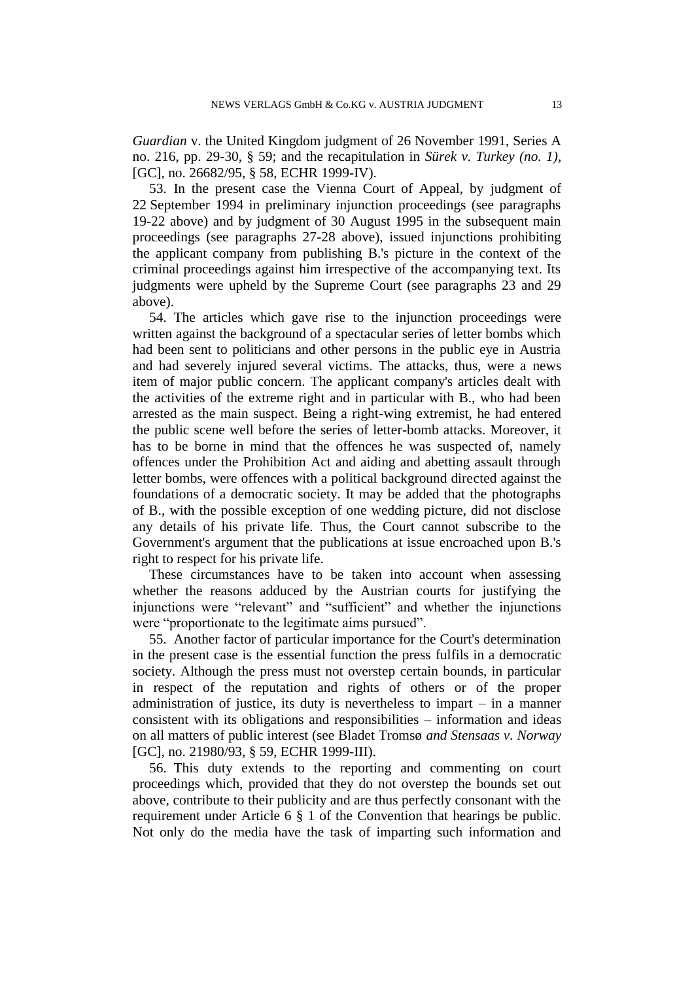*Guardian* v. the United Kingdom judgment of 26 November 1991, Series A no. 216, pp. 29-30, § 59; and the recapitulation in *Sürek v. Turkey (no. 1)*, [GC], no. 26682/95, § 58, ECHR 1999-IV).

53. In the present case the Vienna Court of Appeal, by judgment of 22 September 1994 in preliminary injunction proceedings (see paragraphs 19-22 above) and by judgment of 30 August 1995 in the subsequent main proceedings (see paragraphs 27-28 above), issued injunctions prohibiting the applicant company from publishing B.'s picture in the context of the criminal proceedings against him irrespective of the accompanying text. Its judgments were upheld by the Supreme Court (see paragraphs 23 and 29 above).

54. The articles which gave rise to the injunction proceedings were written against the background of a spectacular series of letter bombs which had been sent to politicians and other persons in the public eye in Austria and had severely injured several victims. The attacks, thus, were a news item of major public concern. The applicant company's articles dealt with the activities of the extreme right and in particular with B., who had been arrested as the main suspect. Being a right-wing extremist, he had entered the public scene well before the series of letter-bomb attacks. Moreover, it has to be borne in mind that the offences he was suspected of, namely offences under the Prohibition Act and aiding and abetting assault through letter bombs, were offences with a political background directed against the foundations of a democratic society. It may be added that the photographs of B., with the possible exception of one wedding picture, did not disclose any details of his private life. Thus, the Court cannot subscribe to the Government's argument that the publications at issue encroached upon B.'s right to respect for his private life.

These circumstances have to be taken into account when assessing whether the reasons adduced by the Austrian courts for justifying the injunctions were "relevant" and "sufficient" and whether the injunctions were "proportionate to the legitimate aims pursued".

55. Another factor of particular importance for the Court's determination in the present case is the essential function the press fulfils in a democratic society. Although the press must not overstep certain bounds, in particular in respect of the reputation and rights of others or of the proper administration of justice, its duty is nevertheless to impart  $-$  in a manner consistent with its obligations and responsibilities – information and ideas on all matters of public interest (see Bladet Tromsø *and Stensaas v. Norway*  [GC], no. 21980/93, § 59, ECHR 1999-III).

56. This duty extends to the reporting and commenting on court proceedings which, provided that they do not overstep the bounds set out above, contribute to their publicity and are thus perfectly consonant with the requirement under Article 6 § 1 of the Convention that hearings be public. Not only do the media have the task of imparting such information and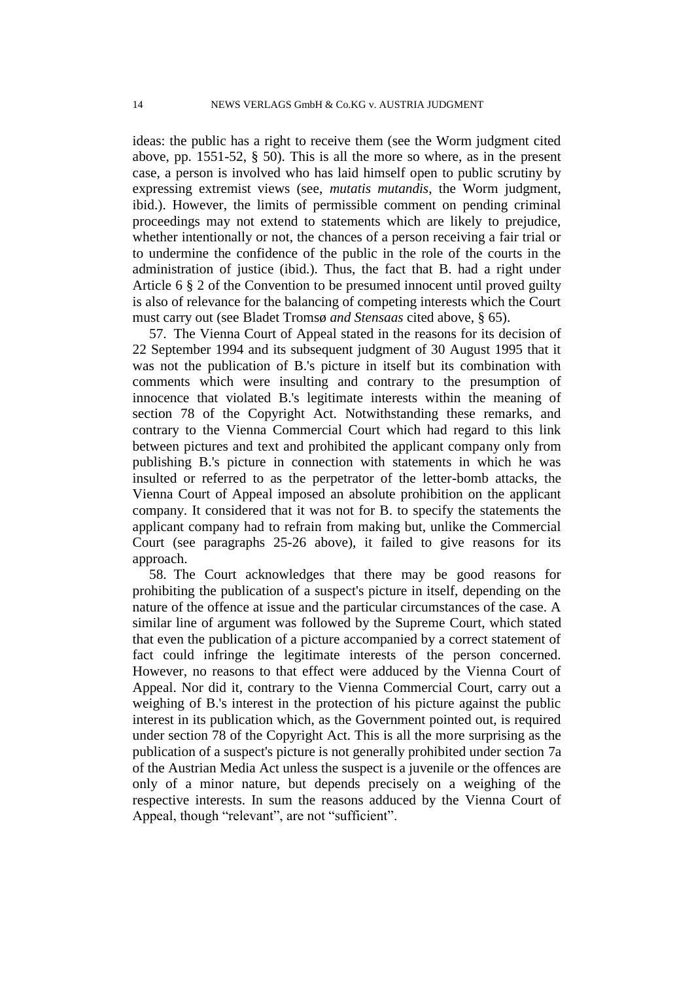ideas: the public has a right to receive them (see the Worm judgment cited above, pp. 1551-52, § 50). This is all the more so where, as in the present case, a person is involved who has laid himself open to public scrutiny by expressing extremist views (see, *mutatis mutandis*, the Worm judgment, ibid.). However, the limits of permissible comment on pending criminal proceedings may not extend to statements which are likely to prejudice, whether intentionally or not, the chances of a person receiving a fair trial or to undermine the confidence of the public in the role of the courts in the administration of justice (ibid.). Thus, the fact that B. had a right under Article 6 § 2 of the Convention to be presumed innocent until proved guilty is also of relevance for the balancing of competing interests which the Court must carry out (see Bladet Tromsø *and Stensaas* cited above, § 65).

57. The Vienna Court of Appeal stated in the reasons for its decision of 22 September 1994 and its subsequent judgment of 30 August 1995 that it was not the publication of B.'s picture in itself but its combination with comments which were insulting and contrary to the presumption of innocence that violated B.'s legitimate interests within the meaning of section 78 of the Copyright Act. Notwithstanding these remarks, and contrary to the Vienna Commercial Court which had regard to this link between pictures and text and prohibited the applicant company only from publishing B.'s picture in connection with statements in which he was insulted or referred to as the perpetrator of the letter-bomb attacks, the Vienna Court of Appeal imposed an absolute prohibition on the applicant company. It considered that it was not for B. to specify the statements the applicant company had to refrain from making but, unlike the Commercial Court (see paragraphs 25-26 above), it failed to give reasons for its approach.

58. The Court acknowledges that there may be good reasons for prohibiting the publication of a suspect's picture in itself, depending on the nature of the offence at issue and the particular circumstances of the case. A similar line of argument was followed by the Supreme Court, which stated that even the publication of a picture accompanied by a correct statement of fact could infringe the legitimate interests of the person concerned. However, no reasons to that effect were adduced by the Vienna Court of Appeal. Nor did it, contrary to the Vienna Commercial Court, carry out a weighing of B.'s interest in the protection of his picture against the public interest in its publication which, as the Government pointed out, is required under section 78 of the Copyright Act. This is all the more surprising as the publication of a suspect's picture is not generally prohibited under section 7a of the Austrian Media Act unless the suspect is a juvenile or the offences are only of a minor nature, but depends precisely on a weighing of the respective interests. In sum the reasons adduced by the Vienna Court of Appeal, though "relevant", are not "sufficient".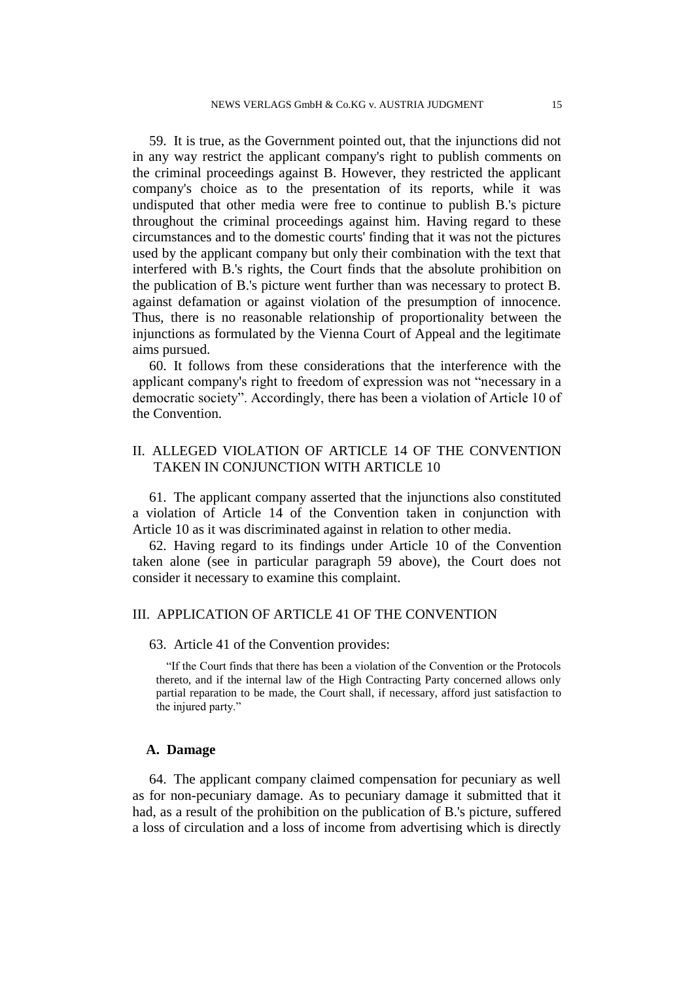59. It is true, as the Government pointed out, that the injunctions did not in any way restrict the applicant company's right to publish comments on the criminal proceedings against B. However, they restricted the applicant company's choice as to the presentation of its reports, while it was undisputed that other media were free to continue to publish B.'s picture throughout the criminal proceedings against him. Having regard to these circumstances and to the domestic courts' finding that it was not the pictures used by the applicant company but only their combination with the text that interfered with B.'s rights, the Court finds that the absolute prohibition on the publication of B.'s picture went further than was necessary to protect B. against defamation or against violation of the presumption of innocence. Thus, there is no reasonable relationship of proportionality between the injunctions as formulated by the Vienna Court of Appeal and the legitimate aims pursued.

60. It follows from these considerations that the interference with the applicant company's right to freedom of expression was not "necessary in a democratic society". Accordingly, there has been a violation of Article 10 of the Convention.

## II. ALLEGED VIOLATION OF ARTICLE 14 OF THE CONVENTION TAKEN IN CONJUNCTION WITH ARTICLE 10

61. The applicant company asserted that the injunctions also constituted a violation of Article 14 of the Convention taken in conjunction with Article 10 as it was discriminated against in relation to other media.

62. Having regard to its findings under Article 10 of the Convention taken alone (see in particular paragraph 59 above), the Court does not consider it necessary to examine this complaint.

## III. APPLICATION OF ARTICLE 41 OF THE CONVENTION

### 63. Article 41 of the Convention provides:

"If the Court finds that there has been a violation of the Convention or the Protocols thereto, and if the internal law of the High Contracting Party concerned allows only partial reparation to be made, the Court shall, if necessary, afford just satisfaction to the injured party."

#### **A. Damage**

64. The applicant company claimed compensation for pecuniary as well as for non-pecuniary damage. As to pecuniary damage it submitted that it had, as a result of the prohibition on the publication of B.'s picture, suffered a loss of circulation and a loss of income from advertising which is directly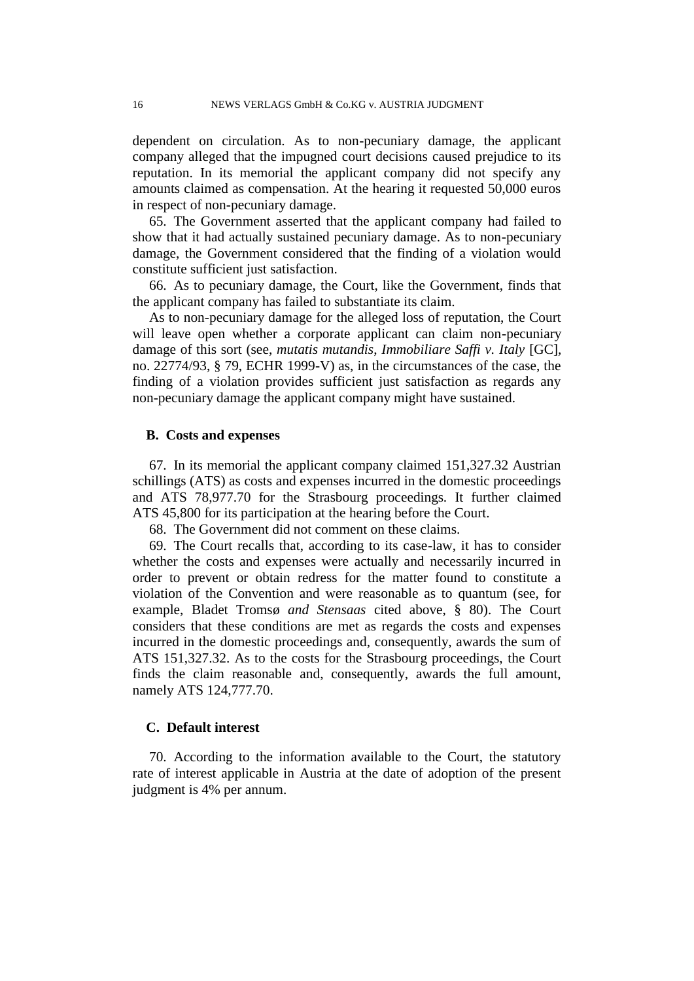dependent on circulation. As to non-pecuniary damage, the applicant company alleged that the impugned court decisions caused prejudice to its reputation. In its memorial the applicant company did not specify any amounts claimed as compensation. At the hearing it requested 50,000 euros in respect of non-pecuniary damage.

65. The Government asserted that the applicant company had failed to show that it had actually sustained pecuniary damage. As to non-pecuniary damage, the Government considered that the finding of a violation would constitute sufficient just satisfaction.

66. As to pecuniary damage, the Court, like the Government, finds that the applicant company has failed to substantiate its claim.

As to non-pecuniary damage for the alleged loss of reputation, the Court will leave open whether a corporate applicant can claim non-pecuniary damage of this sort (see, *mutatis mutandis*, *Immobiliare Saffi v. Italy* [GC]*,*  no. 22774/93, § 79, ECHR 1999-V) as, in the circumstances of the case, the finding of a violation provides sufficient just satisfaction as regards any non-pecuniary damage the applicant company might have sustained.

#### **B. Costs and expenses**

67. In its memorial the applicant company claimed 151,327.32 Austrian schillings (ATS) as costs and expenses incurred in the domestic proceedings and ATS 78,977.70 for the Strasbourg proceedings. It further claimed ATS 45,800 for its participation at the hearing before the Court.

68. The Government did not comment on these claims.

69. The Court recalls that, according to its case-law, it has to consider whether the costs and expenses were actually and necessarily incurred in order to prevent or obtain redress for the matter found to constitute a violation of the Convention and were reasonable as to quantum (see, for example, Bladet Tromsø *and Stensaas* cited above, § 80). The Court considers that these conditions are met as regards the costs and expenses incurred in the domestic proceedings and, consequently, awards the sum of ATS 151,327.32. As to the costs for the Strasbourg proceedings, the Court finds the claim reasonable and, consequently, awards the full amount, namely ATS 124,777.70.

### **C. Default interest**

70. According to the information available to the Court, the statutory rate of interest applicable in Austria at the date of adoption of the present judgment is 4% per annum.